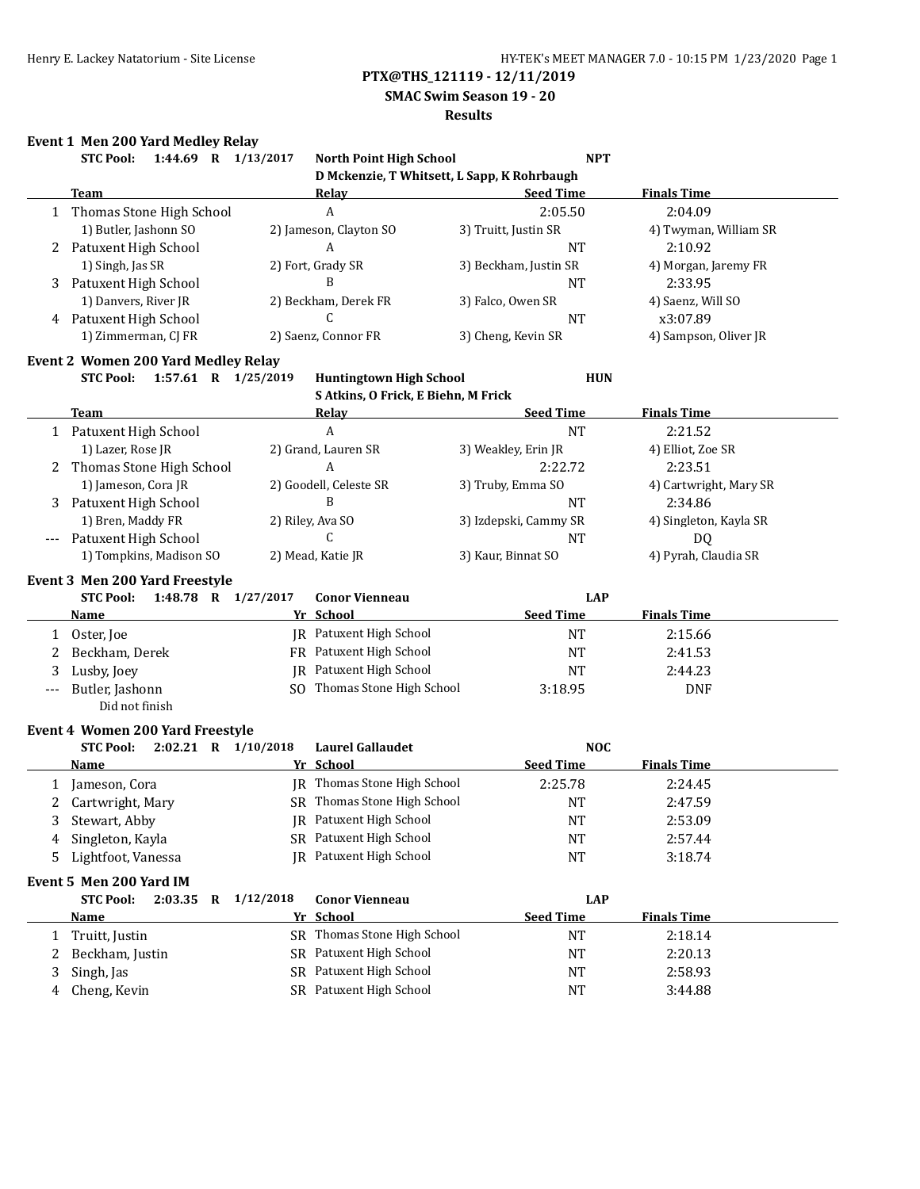### **SMAC Swim Season 19 - 20**

### **Results**

## **Event 1 Men 200 Yard Medley Relay**

|   | STC Pool: 1:44.69 R 1/13/2017                   |                   | North Point High School                            | <b>NPT</b>            |                            |
|---|-------------------------------------------------|-------------------|----------------------------------------------------|-----------------------|----------------------------|
|   |                                                 |                   | D Mckenzie, T Whitsett, L Sapp, K Rohrbaugh        |                       |                            |
|   | <b>Team</b>                                     |                   | <u>Relay</u>                                       | <b>Seed Time</b>      | <b>Finals Time</b>         |
| 1 | Thomas Stone High School                        |                   | A                                                  | 2:05.50               | 2:04.09                    |
|   | 1) Butler, Jashonn SO                           |                   | 2) Jameson, Clayton SO                             | 3) Truitt, Justin SR  | 4) Twyman, William SR      |
|   | 2 Patuxent High School                          |                   | A                                                  | <b>NT</b>             | 2:10.92                    |
|   | 1) Singh, Jas SR                                | 2) Fort, Grady SR |                                                    | 3) Beckham, Justin SR | 4) Morgan, Jaremy FR       |
| 3 | Patuxent High School                            |                   | B                                                  | <b>NT</b>             | 2:33.95                    |
|   | 1) Danvers, River JR                            |                   | 2) Beckham, Derek FR                               | 3) Falco, Owen SR     | 4) Saenz, Will SO          |
|   | 4 Patuxent High School                          |                   | C                                                  | <b>NT</b>             | x3:07.89                   |
|   | 1) Zimmerman, CJ FR                             |                   | 2) Saenz, Connor FR                                | 3) Cheng, Kevin SR    | 4) Sampson, Oliver JR      |
|   | <b>Event 2 Women 200 Yard Medley Relay</b>      |                   |                                                    |                       |                            |
|   | 1:57.61 R 1/25/2019<br><b>STC Pool:</b>         |                   | <b>Huntingtown High School</b>                     | <b>HUN</b>            |                            |
|   |                                                 |                   | S Atkins, O Frick, E Biehn, M Frick                |                       |                            |
|   | <b>Team</b>                                     |                   | <b>Relay</b>                                       | <b>Seed Time</b>      | <b>Finals Time</b>         |
|   | 1 Patuxent High School                          |                   | $\mathbf{A}$                                       | <b>NT</b>             | 2:21.52                    |
|   | 1) Lazer, Rose JR                               |                   | 2) Grand, Lauren SR                                | 3) Weakley, Erin JR   | 4) Elliot, Zoe SR          |
| 2 | Thomas Stone High School                        |                   | A                                                  | 2:22.72               | 2:23.51                    |
|   | 1) Jameson, Cora JR                             |                   | 2) Goodell, Celeste SR                             | 3) Truby, Emma SO     | 4) Cartwright, Mary SR     |
| 3 | Patuxent High School                            |                   | B                                                  | <b>NT</b>             | 2:34.86                    |
|   | 1) Bren, Maddy FR                               | 2) Riley, Ava SO  |                                                    | 3) Izdepski, Cammy SR | 4) Singleton, Kayla SR     |
|   |                                                 |                   | $\mathsf{C}$                                       | <b>NT</b>             |                            |
|   | Patuxent High School<br>1) Tompkins, Madison SO | 2) Mead, Katie JR |                                                    | 3) Kaur, Binnat SO    | DQ<br>4) Pyrah, Claudia SR |
|   |                                                 |                   |                                                    |                       |                            |
|   | <b>Event 3 Men 200 Yard Freestyle</b>           |                   |                                                    |                       |                            |
|   | <b>STC Pool:</b><br>1:48.78 R 1/27/2017         |                   | <b>Conor Vienneau</b>                              | <b>LAP</b>            |                            |
|   | Name                                            |                   | Yr School                                          | <b>Seed Time</b>      | <b>Finals Time</b>         |
| 1 | Oster, Joe                                      |                   | JR Patuxent High School                            | NT                    | 2:15.66                    |
| 2 | Beckham, Derek                                  |                   | FR Patuxent High School                            | <b>NT</b>             | 2:41.53                    |
| 3 | Lusby, Joey                                     |                   | JR Patuxent High School                            | <b>NT</b>             | 2:44.23                    |
|   | Butler, Jashonn                                 |                   | SO Thomas Stone High School                        | 3:18.95               | <b>DNF</b>                 |
|   | Did not finish                                  |                   |                                                    |                       |                            |
|   | <b>Event 4 Women 200 Yard Freestyle</b>         |                   |                                                    |                       |                            |
|   | 2:02.21 R 1/10/2018<br><b>STC Pool:</b>         |                   | <b>Laurel Gallaudet</b>                            | <b>NOC</b>            |                            |
|   | Name                                            |                   | Yr School                                          | <b>Seed Time</b>      | <b>Finals Time</b>         |
| 1 | Jameson, Cora                                   |                   | JR Thomas Stone High School                        | 2:25.78               | 2:24.45                    |
| 2 | Cartwright, Mary                                |                   | SR Thomas Stone High School                        | <b>NT</b>             | 2:47.59                    |
|   | 3 Stewart, Abby                                 |                   | JR Patuxent High School                            | $\rm{NT}$             | 2:53.09                    |
| 4 | Singleton, Kayla                                |                   | SR Patuxent High School                            | NT                    | 2:57.44                    |
| 5 | Lightfoot, Vanessa                              |                   | JR Patuxent High School                            | <b>NT</b>             | 3:18.74                    |
|   |                                                 |                   |                                                    |                       |                            |
|   | Event 5 Men 200 Yard IM                         |                   |                                                    |                       |                            |
|   | <b>STC Pool:</b><br>2:03.35<br>$\mathbf{R}$     | 1/12/2018         | <b>Conor Vienneau</b>                              | <b>LAP</b>            |                            |
|   | <u>Name</u>                                     |                   | Yr School                                          | <b>Seed Time</b>      | <b>Finals Time</b>         |
|   | Truitt, Justin                                  |                   | SR Thomas Stone High School                        | NT                    | 2:18.14                    |
| 1 |                                                 |                   |                                                    |                       | 2:20.13                    |
| 2 | Beckham, Justin                                 |                   | SR Patuxent High School                            | NT                    |                            |
| 3 | Singh, Jas<br>Cheng, Kevin                      |                   | SR Patuxent High School<br>SR Patuxent High School | NT                    | 2:58.93<br>3:44.88         |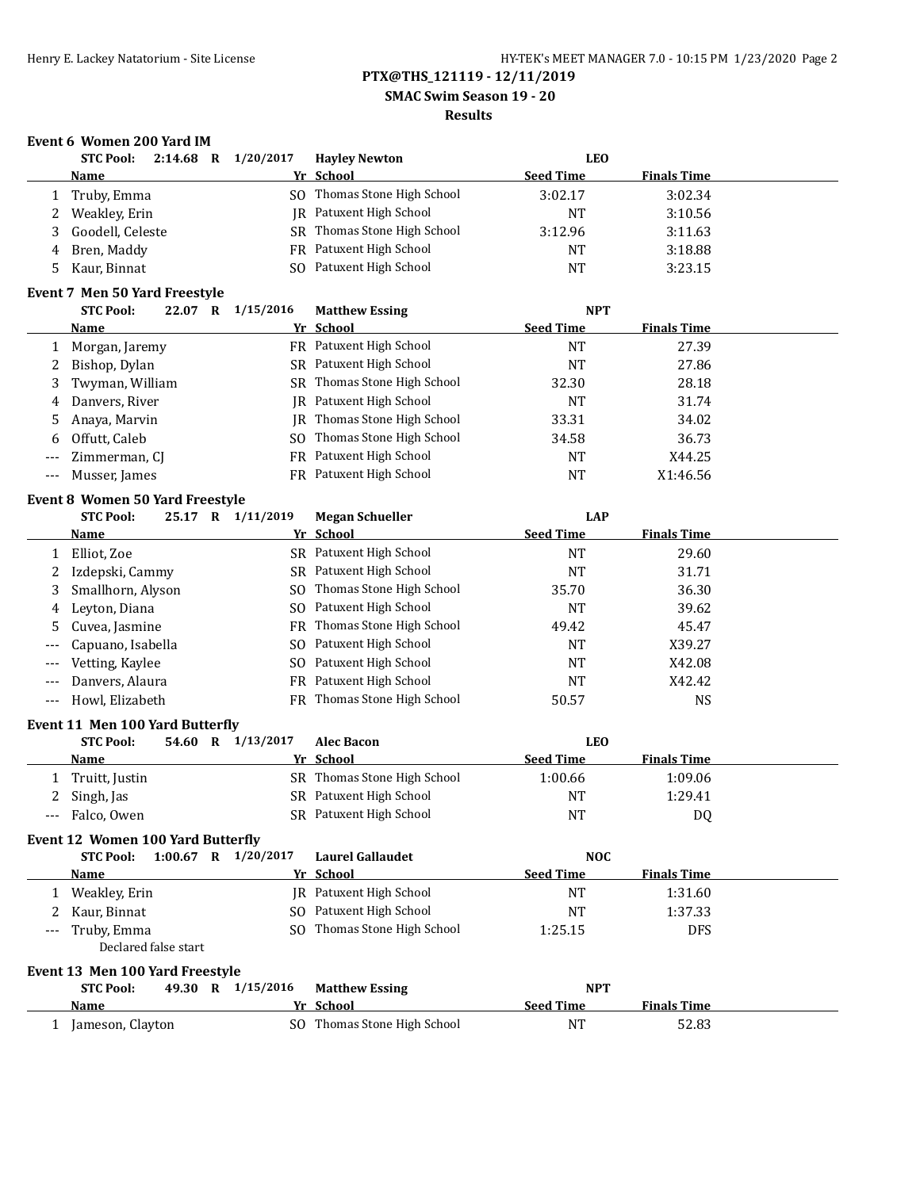**SMAC Swim Season 19 - 20**

## **Results**

# **Event 6 Women 200 Yard IM**

|    | $2:14.68$ R<br><b>STC Pool:</b> | 1/20/2017 | <b>Hayley Newton</b>        | LEO              |                    |  |
|----|---------------------------------|-----------|-----------------------------|------------------|--------------------|--|
|    | Name                            |           | Yr School                   | <b>Seed Time</b> | <b>Finals Time</b> |  |
|    | Truby, Emma                     |           | SO Thomas Stone High School | 3:02.17          | 3:02.34            |  |
| ∠  | Weakley, Erin                   |           | JR Patuxent High School     | NT               | 3:10.56            |  |
|    | Goodell, Celeste                |           | SR Thomas Stone High School | 3:12.96          | 3:11.63            |  |
| 4  | Bren, Maddy                     |           | FR Patuxent High School     | NT               | 3:18.88            |  |
| 5. | Kaur, Binnat                    | SO.       | Patuxent High School        | NT               | 3:23.15            |  |

#### **Event 7 Men 50 Yard Freestyle**

|                     | <b>STC Pool:</b><br>22.07<br>R | 1/15/2016 | <b>Matthew Essing</b>       | <b>NPT</b>       |                    |
|---------------------|--------------------------------|-----------|-----------------------------|------------------|--------------------|
|                     | <b>Name</b>                    |           | Yr School                   | <b>Seed Time</b> | <b>Finals Time</b> |
|                     | Morgan, Jaremy                 |           | FR Patuxent High School     | NT               | 27.39              |
|                     | 2 Bishop, Dylan                |           | SR Patuxent High School     | <b>NT</b>        | 27.86              |
|                     | 3 Twyman, William              |           | SR Thomas Stone High School | 32.30            | 28.18              |
|                     | 4 Danvers, River               |           | IR Patuxent High School     | NT               | 31.74              |
|                     | 5 Anaya, Marvin                |           | JR Thomas Stone High School | 33.31            | 34.02              |
|                     | 6 Offutt, Caleb                |           | SO Thomas Stone High School | 34.58            | 36.73              |
| $---$               | Zimmerman, CJ                  |           | FR Patuxent High School     | <b>NT</b>        | X44.25             |
| $\qquad \qquad - -$ | Musser, James                  |           | FR Patuxent High School     | NT               | X1:46.56           |

#### **Event 8 Women 50 Yard Freestyle**

| <b>STC Pool:</b><br>25.17 |                                                                                        | <b>Megan Schueller</b> | LAP                                                                                                                                                                                                                                                  |                    |           |
|---------------------------|----------------------------------------------------------------------------------------|------------------------|------------------------------------------------------------------------------------------------------------------------------------------------------------------------------------------------------------------------------------------------------|--------------------|-----------|
| <b>Name</b>               |                                                                                        |                        | <b>Seed Time</b>                                                                                                                                                                                                                                     | <b>Finals Time</b> |           |
| Elliot, Zoe               |                                                                                        |                        | <b>NT</b>                                                                                                                                                                                                                                            | 29.60              |           |
|                           |                                                                                        |                        | NT                                                                                                                                                                                                                                                   | 31.71              |           |
|                           |                                                                                        |                        | 35.70                                                                                                                                                                                                                                                | 36.30              |           |
| Leyton, Diana             |                                                                                        |                        | <b>NT</b>                                                                                                                                                                                                                                            | 39.62              |           |
|                           |                                                                                        |                        | 49.42                                                                                                                                                                                                                                                | 45.47              |           |
|                           |                                                                                        |                        | NT                                                                                                                                                                                                                                                   | X39.27             |           |
| Vetting, Kaylee           |                                                                                        | Patuxent High School   | <b>NT</b>                                                                                                                                                                                                                                            | X42.08             |           |
| Danyers, Alaura           |                                                                                        |                        | <b>NT</b>                                                                                                                                                                                                                                            | X42.42             |           |
| Howl, Elizabeth           |                                                                                        |                        | 50.57                                                                                                                                                                                                                                                | NS                 |           |
|                           | 2 Izdepski, Cammy<br>3 Smallhorn, Alyson<br>4<br>5 Cuvea, Jasmine<br>Capuano, Isabella | $\mathbf R$            | Yr School<br>SR Patuxent High School<br>SR Patuxent High School<br>SO Thomas Stone High School<br>SO Patuxent High School<br>FR Thomas Stone High School<br>SO Patuxent High School<br>SO.<br>FR Patuxent High School<br>FR Thomas Stone High School |                    | 1/11/2019 |

#### **Event 11 Men 100 Yard Butterfly**

| <b>STC Pool:</b> |  | 54.60 R 1/13/2017 | <b>Alec Bacon</b>           |                  | <b>LEO</b>         |  |
|------------------|--|-------------------|-----------------------------|------------------|--------------------|--|
| <b>Name</b>      |  |                   | Yr School                   | <b>Seed Time</b> | <b>Finals Time</b> |  |
| 1 Truitt, Justin |  |                   | SR Thomas Stone High School | 1:00.66          | 1:09.06            |  |
| Singh, Jas       |  |                   | SR Patuxent High School     | NΤ               | 1:29.41            |  |
| --- Falco, Owen  |  |                   | SR Patuxent High School     | NT               | D0                 |  |

#### **Event 12 Women 100 Yard Butterfly**

| 1:00.67<br><b>STC Pool:</b><br>$\mathbf R$ | 1/20/2017 | <b>Laurel Gallaudet</b>     | <b>NOC</b>       |                    |  |
|--------------------------------------------|-----------|-----------------------------|------------------|--------------------|--|
| <b>Name</b>                                |           | Yr School                   | <b>Seed Time</b> | <b>Finals Time</b> |  |
| Weakley, Erin                              |           | IR Patuxent High School     | <b>NT</b>        | 1:31.60            |  |
| 2 Kaur, Binnat                             |           | SO Patuxent High School     | NT               | 1:37.33            |  |
| --- Truby, Emma                            |           | SO Thomas Stone High School | 1:25.15          | <b>DFS</b>         |  |
| Declared false start                       |           |                             |                  |                    |  |

#### **Event 13 Men 100 Yard Freestyle**

| <b>STC Pool:</b> |  | 49.30 R 1/15/2016 | <b>Matthew Essing</b>       | <b>NPT</b>       |                    |  |
|------------------|--|-------------------|-----------------------------|------------------|--------------------|--|
| Name             |  |                   | Yr School                   | <b>Seed Time</b> | <b>Finals Time</b> |  |
| Jameson, Clayton |  |                   | SO Thomas Stone High School | $N^{T}$          | 52.83              |  |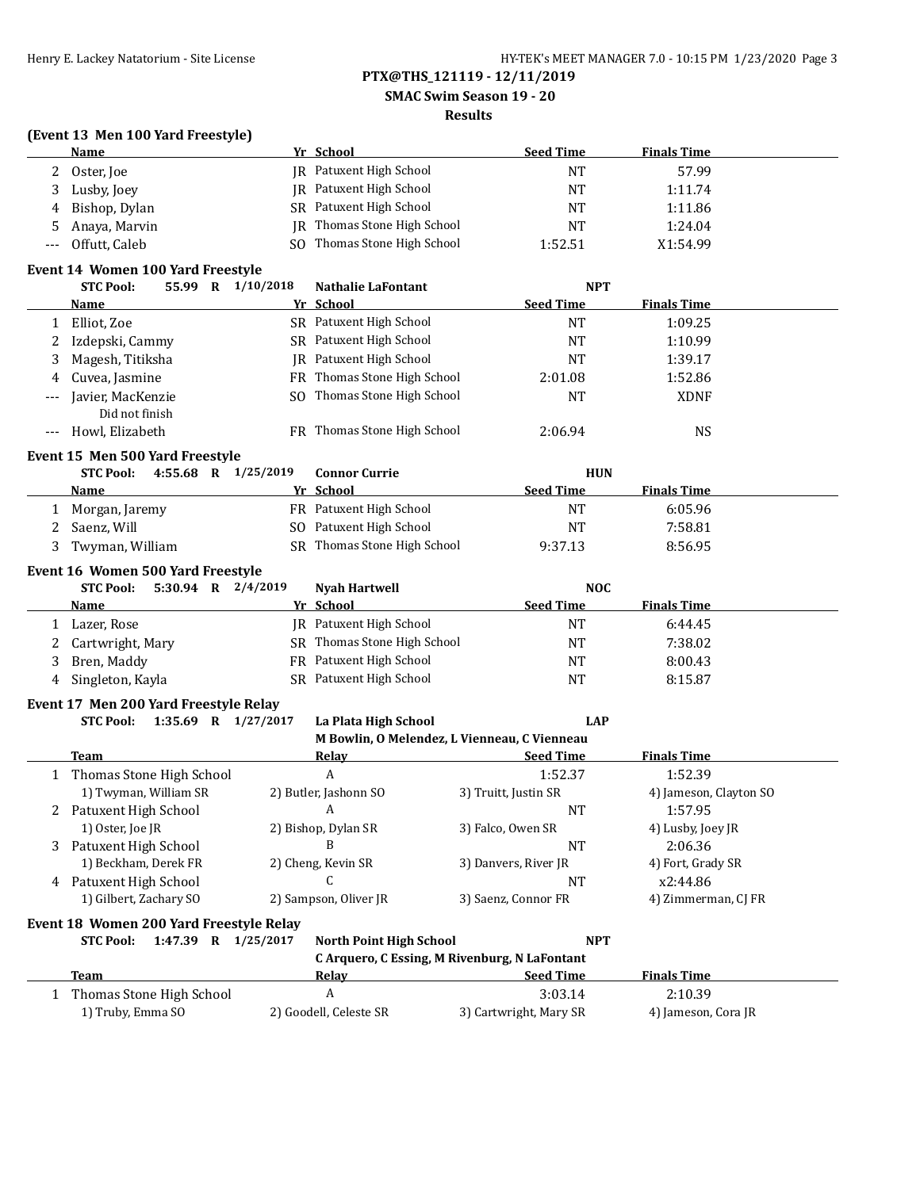**SMAC Swim Season 19 - 20**

## **Results**

## **(Event 13 Men 100 Yard Freestyle)**

|       | Name                              |       |   |           | Yr School                      | <b>Seed Time</b> | <b>Finals Time</b> |  |
|-------|-----------------------------------|-------|---|-----------|--------------------------------|------------------|--------------------|--|
| 2     | Oster, Joe                        |       |   |           | <b>IR</b> Patuxent High School | NT               | 57.99              |  |
| 3     | Lusby, Joey                       |       |   |           | <b>IR</b> Patuxent High School | NT               | 1:11.74            |  |
| 4     | Bishop, Dylan                     |       |   |           | SR Patuxent High School        | <b>NT</b>        | 1:11.86            |  |
| 5.    | Anaya, Marvin                     |       |   |           | IR Thomas Stone High School    | <b>NT</b>        | 1:24.04            |  |
| $---$ | Offutt. Caleb                     |       |   |           | SO Thomas Stone High School    | 1:52.51          | X1:54.99           |  |
|       | Event 14 Women 100 Yard Freestyle |       |   |           |                                |                  |                    |  |
|       | <b>STC Pool:</b>                  | 55.99 | R | 1/10/2018 | <b>Nathalie LaFontant</b>      | <b>NPT</b>       |                    |  |
|       | <b>Name</b>                       |       |   |           | Yr School                      | <b>Seed Time</b> | <b>Finals Time</b> |  |
|       | Elliot Zoe                        |       |   |           | <b>SR</b> Patuxent High School | NΤ               | 1.0925             |  |

|       | Elliot, Zoe                     |           | SR Patuxent High School     | NT               | 1:09.25            |  |
|-------|---------------------------------|-----------|-----------------------------|------------------|--------------------|--|
| 2     | Izdepski, Cammy                 |           | SR Patuxent High School     | NT               | 1:10.99            |  |
| 3     | Magesh, Titiksha                |           | IR Patuxent High School     | NT               | 1:39.17            |  |
| 4     | Cuvea, Jasmine                  |           | FR Thomas Stone High School | 2:01.08          | 1:52.86            |  |
| $---$ | Javier, MacKenzie               | SO.       | Thomas Stone High School    | <b>NT</b>        | <b>XDNF</b>        |  |
|       | Did not finish                  |           |                             |                  |                    |  |
| $---$ | Howl, Elizabeth                 |           | FR Thomas Stone High School | 2:06.94          | NS                 |  |
|       |                                 |           |                             |                  |                    |  |
|       | Event 15 Men 500 Yard Freestyle |           |                             |                  |                    |  |
|       | $4:55.68$ R<br><b>STC Pool:</b> | 1/25/2019 | <b>Connor Currie</b>        | <b>HUN</b>       |                    |  |
|       | <b>Name</b>                     |           | Yr School                   | <b>Seed Time</b> | <b>Finals Time</b> |  |
|       | Morgan, Jaremy                  |           | FR Patuxent High School     | <b>NT</b>        | 6:05.96            |  |
|       | Saenz, Will                     |           | SO Patuxent High School     | <b>NT</b>        | 7:58.81            |  |
| 3     | Twyman, William                 |           | SR Thomas Stone High School | 9:37.13          | 8:56.95            |  |

## **Event 16 Women 500 Yard Freestyle**

|   | $5:30.94$ R $2/4/2019$<br><b>STC Pool:</b> | Nyah Hartwell               | <b>NOC</b>       |                    |
|---|--------------------------------------------|-----------------------------|------------------|--------------------|
|   | <b>Name</b>                                | Yr School                   | <b>Seed Time</b> | <b>Finals Time</b> |
|   | Lazer, Rose                                | IR Patuxent High School     | NT               | 6:44.45            |
|   | Cartwright, Mary                           | SR Thomas Stone High School | NT               | 7:38.02            |
|   | Bren, Maddy                                | FR Patuxent High School     | <b>NT</b>        | 8:00.43            |
| 4 | Singleton, Kayla                           | SR Patuxent High School     | <b>NT</b>        | 8:15.87            |

## **Event 17 Men 200 Yard Freestyle Relay**

| STC Pool: | 1:35.69 |  | 1/27/2017 |
|-----------|---------|--|-----------|
|           |         |  |           |

|  | STC Pool: 1:35.69 R 1/27/2017 | La Plata High School                         | LAP |
|--|-------------------------------|----------------------------------------------|-----|
|  |                               | M Bowlin, O Melendez, L Vienneau, C Vienneau |     |

|    | <b>Team</b>              | Relav                 | <b>Seed Time</b>     | <b>Finals Time</b>     |  |  |  |
|----|--------------------------|-----------------------|----------------------|------------------------|--|--|--|
|    | Thomas Stone High School | A                     | 1:52.37              | 1:52.39                |  |  |  |
|    | 1) Twyman, William SR    | 2) Butler, Jashonn SO | 3) Truitt, Justin SR | 4) Jameson, Clayton SO |  |  |  |
|    | 2 Patuxent High School   | A                     | NT                   | 1:57.95                |  |  |  |
|    | 1) Oster, Joe JR         | 2) Bishop, Dylan SR   | 3) Falco, Owen SR    | 4) Lusby, Joey JR      |  |  |  |
| 3. | Patuxent High School     |                       | NT                   | 2:06.36                |  |  |  |
|    | 1) Beckham, Derek FR     | 2) Cheng, Kevin SR    | 3) Danyers, River JR | 4) Fort, Grady SR      |  |  |  |
| 4  | Patuxent High School     |                       | NT                   | x2:44.86               |  |  |  |
|    | 1) Gilbert, Zachary SO   | 2) Sampson, Oliver JR | 3) Saenz, Connor FR  | 4) Zimmerman, CJ FR    |  |  |  |

### **Event 18 Women 200 Yard Freestyle Relay**

|  |  |  |  | STC Pool: 1:47.39 R 1/25/2017 North Point High School | <b>NPT</b> |
|--|--|--|--|-------------------------------------------------------|------------|
|--|--|--|--|-------------------------------------------------------|------------|

|                          | C Arguero, C Essing, M Rivenburg, N LaFontant |                        |                     |  |  |
|--------------------------|-----------------------------------------------|------------------------|---------------------|--|--|
| Team                     | Relav                                         | <b>Seed Time</b>       | <b>Finals Time</b>  |  |  |
| Thomas Stone High School |                                               | 3:03.14                | 2:10.39             |  |  |
| 1) Truby, Emma SO        | 2) Goodell, Celeste SR                        | 3) Cartwright, Mary SR | 4) Jameson, Cora JR |  |  |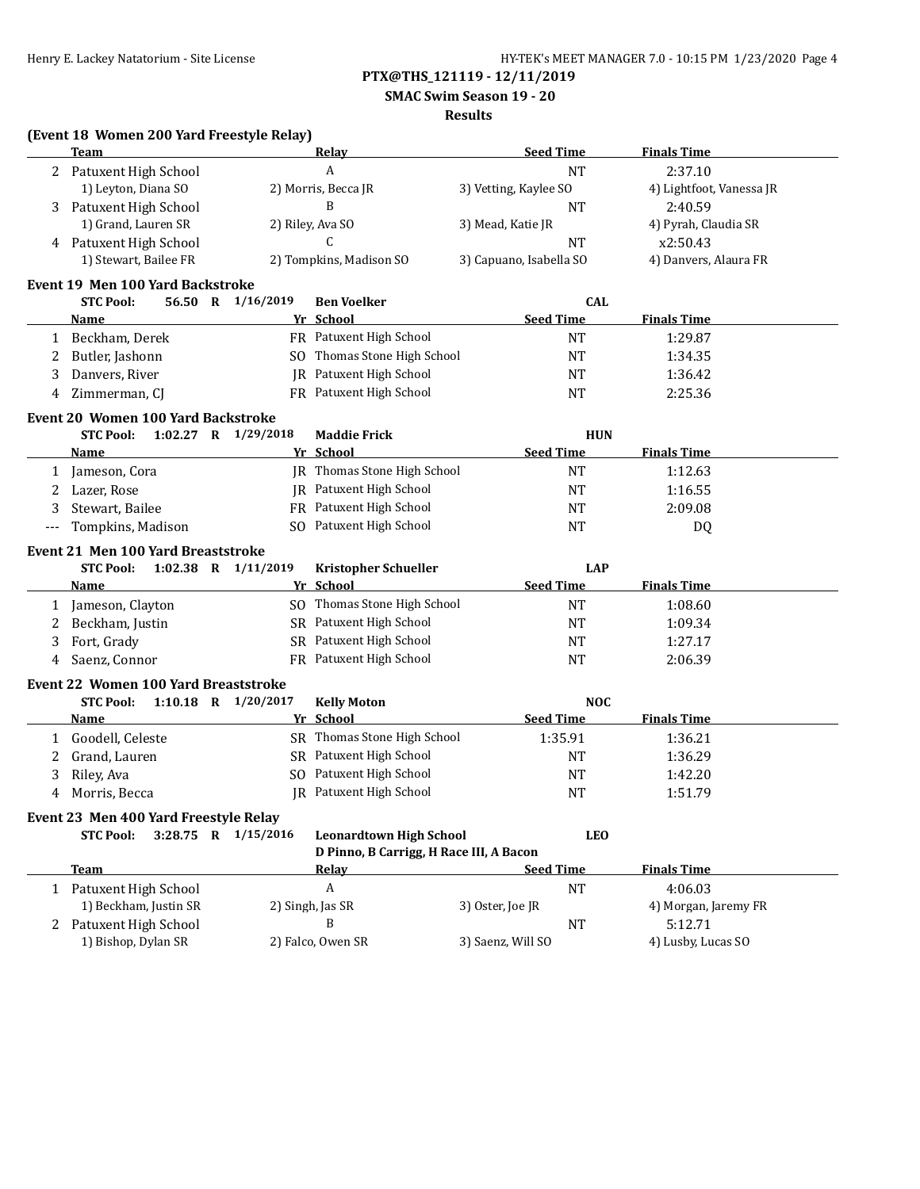**SMAC Swim Season 19 - 20**

#### **Results**

| (Event 18 Women 200 Yard Freestyle Relay) |  |
|-------------------------------------------|--|
|-------------------------------------------|--|

| 2 Patuxent High School<br><b>NT</b><br>2:37.10<br>A<br>1) Leyton, Diana SO<br>2) Morris, Becca JR<br>3) Vetting, Kaylee SO<br>4) Lightfoot, Vanessa JR<br>Patuxent High School<br>B<br>2:40.59<br><b>NT</b><br>3<br>1) Grand, Lauren SR<br>2) Riley, Ava SO<br>3) Mead, Katie JR<br>4) Pyrah, Claudia SR<br>C<br>4 Patuxent High School<br><b>NT</b><br>x2:50.43<br>1) Stewart, Bailee FR<br>2) Tompkins, Madison SO<br>4) Danvers, Alaura FR<br>3) Capuano, Isabella SO<br><b>Event 19 Men 100 Yard Backstroke</b><br><b>STC Pool:</b><br>56.50 R 1/16/2019<br><b>Ben Voelker</b><br><b>CAL</b><br>Yr School<br><b>Seed Time</b><br><b>Finals Time</b><br><b>Name</b><br>FR Patuxent High School<br><b>NT</b><br>1:29.87<br>Beckham, Derek<br>1<br>SO Thomas Stone High School<br><b>NT</b><br>Butler, Jashonn<br>1:34.35<br>2<br>JR Patuxent High School<br>Danvers, River<br><b>NT</b><br>1:36.42<br>3<br>FR Patuxent High School<br><b>NT</b><br>Zimmerman, CJ<br>2:25.36<br>4<br><b>Event 20 Women 100 Yard Backstroke</b><br>1:02.27 R 1/29/2018<br><b>STC Pool:</b><br><b>HUN</b><br><b>Maddie Frick</b><br>Yr School<br><b>Seed Time</b><br><b>Finals Time</b><br><b>Name</b><br>JR Thomas Stone High School<br><b>NT</b><br>Jameson, Cora<br>1:12.63<br>$\mathbf{1}$<br><b>IR</b> Patuxent High School<br>Lazer, Rose<br><b>NT</b><br>1:16.55<br>2<br>FR Patuxent High School<br>Stewart, Bailee<br>2:09.08<br>3<br>NT<br>SO Patuxent High School<br>Tompkins, Madison<br><b>NT</b><br>DQ<br>---<br><b>Event 21 Men 100 Yard Breaststroke</b><br><b>STC Pool:</b><br>1:02.38 R $1/11/2019$<br><b>Kristopher Schueller</b><br><b>LAP</b><br><b>Seed Time</b><br><b>Finals Time</b><br>Yr School<br>Name<br>SO Thomas Stone High School<br><b>NT</b><br>1:08.60<br>Jameson, Clayton<br>1<br>SR Patuxent High School<br>Beckham, Justin<br><b>NT</b><br>1:09.34<br>2<br>SR Patuxent High School<br>Fort, Grady<br>1:27.17<br>3<br><b>NT</b><br>FR Patuxent High School<br>Saenz, Connor<br><b>NT</b><br>2:06.39<br>4<br><b>Event 22 Women 100 Yard Breaststroke</b><br><b>STC Pool:</b><br>1:10.18 R 1/20/2017<br><b>NOC</b><br><b>Kelly Moton</b><br><b>Seed Time</b><br>Yr School<br><b>Finals Time</b><br><u>Name</u><br>SR Thomas Stone High School<br>Goodell, Celeste<br>1:35.91<br>1:36.21<br>1<br>SR Patuxent High School<br>Grand, Lauren<br><b>NT</b><br>2<br>1:36.29<br>SO Patuxent High School<br>Riley, Ava<br><b>NT</b><br>1:42.20<br>3<br>JR Patuxent High School<br>Morris, Becca<br><b>NT</b><br>1:51.79<br>4<br>Event 23 Men 400 Yard Freestyle Relay<br><b>STC Pool:</b><br>3:28.75 R 1/15/2016<br><b>Leonardtown High School</b><br><b>LEO</b><br>D Pinno, B Carrigg, H Race III, A Bacon<br><b>Seed Time</b><br><b>Finals Time</b><br><b>Team</b><br><b>Relay</b><br>$\boldsymbol{A}$<br>$\rm{NT}$<br>4:06.03<br>1 Patuxent High School<br>1) Beckham, Justin SR<br>2) Singh, Jas SR<br>3) Oster, Joe JR<br>4) Morgan, Jaremy FR<br>2 Patuxent High School<br>B<br><b>NT</b><br>5:12.71<br>2) Falco, Owen SR | <b>Team</b>         | Relay | <b>Seed Time</b>  | <b>Finals Time</b> |
|-----------------------------------------------------------------------------------------------------------------------------------------------------------------------------------------------------------------------------------------------------------------------------------------------------------------------------------------------------------------------------------------------------------------------------------------------------------------------------------------------------------------------------------------------------------------------------------------------------------------------------------------------------------------------------------------------------------------------------------------------------------------------------------------------------------------------------------------------------------------------------------------------------------------------------------------------------------------------------------------------------------------------------------------------------------------------------------------------------------------------------------------------------------------------------------------------------------------------------------------------------------------------------------------------------------------------------------------------------------------------------------------------------------------------------------------------------------------------------------------------------------------------------------------------------------------------------------------------------------------------------------------------------------------------------------------------------------------------------------------------------------------------------------------------------------------------------------------------------------------------------------------------------------------------------------------------------------------------------------------------------------------------------------------------------------------------------------------------------------------------------------------------------------------------------------------------------------------------------------------------------------------------------------------------------------------------------------------------------------------------------------------------------------------------------------------------------------------------------------------------------------------------------------------------------------------------------------------------------------------------------------------------------------------------------------------------------------------------------------------------------------------------------------------------------------------------------------------------------------------------------------------------------------------------------------------------------------------------------------------------------------------------------------------|---------------------|-------|-------------------|--------------------|
|                                                                                                                                                                                                                                                                                                                                                                                                                                                                                                                                                                                                                                                                                                                                                                                                                                                                                                                                                                                                                                                                                                                                                                                                                                                                                                                                                                                                                                                                                                                                                                                                                                                                                                                                                                                                                                                                                                                                                                                                                                                                                                                                                                                                                                                                                                                                                                                                                                                                                                                                                                                                                                                                                                                                                                                                                                                                                                                                                                                                                                         |                     |       |                   |                    |
|                                                                                                                                                                                                                                                                                                                                                                                                                                                                                                                                                                                                                                                                                                                                                                                                                                                                                                                                                                                                                                                                                                                                                                                                                                                                                                                                                                                                                                                                                                                                                                                                                                                                                                                                                                                                                                                                                                                                                                                                                                                                                                                                                                                                                                                                                                                                                                                                                                                                                                                                                                                                                                                                                                                                                                                                                                                                                                                                                                                                                                         |                     |       |                   |                    |
|                                                                                                                                                                                                                                                                                                                                                                                                                                                                                                                                                                                                                                                                                                                                                                                                                                                                                                                                                                                                                                                                                                                                                                                                                                                                                                                                                                                                                                                                                                                                                                                                                                                                                                                                                                                                                                                                                                                                                                                                                                                                                                                                                                                                                                                                                                                                                                                                                                                                                                                                                                                                                                                                                                                                                                                                                                                                                                                                                                                                                                         |                     |       |                   |                    |
|                                                                                                                                                                                                                                                                                                                                                                                                                                                                                                                                                                                                                                                                                                                                                                                                                                                                                                                                                                                                                                                                                                                                                                                                                                                                                                                                                                                                                                                                                                                                                                                                                                                                                                                                                                                                                                                                                                                                                                                                                                                                                                                                                                                                                                                                                                                                                                                                                                                                                                                                                                                                                                                                                                                                                                                                                                                                                                                                                                                                                                         |                     |       |                   |                    |
|                                                                                                                                                                                                                                                                                                                                                                                                                                                                                                                                                                                                                                                                                                                                                                                                                                                                                                                                                                                                                                                                                                                                                                                                                                                                                                                                                                                                                                                                                                                                                                                                                                                                                                                                                                                                                                                                                                                                                                                                                                                                                                                                                                                                                                                                                                                                                                                                                                                                                                                                                                                                                                                                                                                                                                                                                                                                                                                                                                                                                                         |                     |       |                   |                    |
|                                                                                                                                                                                                                                                                                                                                                                                                                                                                                                                                                                                                                                                                                                                                                                                                                                                                                                                                                                                                                                                                                                                                                                                                                                                                                                                                                                                                                                                                                                                                                                                                                                                                                                                                                                                                                                                                                                                                                                                                                                                                                                                                                                                                                                                                                                                                                                                                                                                                                                                                                                                                                                                                                                                                                                                                                                                                                                                                                                                                                                         |                     |       |                   |                    |
|                                                                                                                                                                                                                                                                                                                                                                                                                                                                                                                                                                                                                                                                                                                                                                                                                                                                                                                                                                                                                                                                                                                                                                                                                                                                                                                                                                                                                                                                                                                                                                                                                                                                                                                                                                                                                                                                                                                                                                                                                                                                                                                                                                                                                                                                                                                                                                                                                                                                                                                                                                                                                                                                                                                                                                                                                                                                                                                                                                                                                                         |                     |       |                   |                    |
|                                                                                                                                                                                                                                                                                                                                                                                                                                                                                                                                                                                                                                                                                                                                                                                                                                                                                                                                                                                                                                                                                                                                                                                                                                                                                                                                                                                                                                                                                                                                                                                                                                                                                                                                                                                                                                                                                                                                                                                                                                                                                                                                                                                                                                                                                                                                                                                                                                                                                                                                                                                                                                                                                                                                                                                                                                                                                                                                                                                                                                         |                     |       |                   |                    |
|                                                                                                                                                                                                                                                                                                                                                                                                                                                                                                                                                                                                                                                                                                                                                                                                                                                                                                                                                                                                                                                                                                                                                                                                                                                                                                                                                                                                                                                                                                                                                                                                                                                                                                                                                                                                                                                                                                                                                                                                                                                                                                                                                                                                                                                                                                                                                                                                                                                                                                                                                                                                                                                                                                                                                                                                                                                                                                                                                                                                                                         |                     |       |                   |                    |
|                                                                                                                                                                                                                                                                                                                                                                                                                                                                                                                                                                                                                                                                                                                                                                                                                                                                                                                                                                                                                                                                                                                                                                                                                                                                                                                                                                                                                                                                                                                                                                                                                                                                                                                                                                                                                                                                                                                                                                                                                                                                                                                                                                                                                                                                                                                                                                                                                                                                                                                                                                                                                                                                                                                                                                                                                                                                                                                                                                                                                                         |                     |       |                   |                    |
|                                                                                                                                                                                                                                                                                                                                                                                                                                                                                                                                                                                                                                                                                                                                                                                                                                                                                                                                                                                                                                                                                                                                                                                                                                                                                                                                                                                                                                                                                                                                                                                                                                                                                                                                                                                                                                                                                                                                                                                                                                                                                                                                                                                                                                                                                                                                                                                                                                                                                                                                                                                                                                                                                                                                                                                                                                                                                                                                                                                                                                         |                     |       |                   |                    |
|                                                                                                                                                                                                                                                                                                                                                                                                                                                                                                                                                                                                                                                                                                                                                                                                                                                                                                                                                                                                                                                                                                                                                                                                                                                                                                                                                                                                                                                                                                                                                                                                                                                                                                                                                                                                                                                                                                                                                                                                                                                                                                                                                                                                                                                                                                                                                                                                                                                                                                                                                                                                                                                                                                                                                                                                                                                                                                                                                                                                                                         |                     |       |                   |                    |
|                                                                                                                                                                                                                                                                                                                                                                                                                                                                                                                                                                                                                                                                                                                                                                                                                                                                                                                                                                                                                                                                                                                                                                                                                                                                                                                                                                                                                                                                                                                                                                                                                                                                                                                                                                                                                                                                                                                                                                                                                                                                                                                                                                                                                                                                                                                                                                                                                                                                                                                                                                                                                                                                                                                                                                                                                                                                                                                                                                                                                                         |                     |       |                   |                    |
|                                                                                                                                                                                                                                                                                                                                                                                                                                                                                                                                                                                                                                                                                                                                                                                                                                                                                                                                                                                                                                                                                                                                                                                                                                                                                                                                                                                                                                                                                                                                                                                                                                                                                                                                                                                                                                                                                                                                                                                                                                                                                                                                                                                                                                                                                                                                                                                                                                                                                                                                                                                                                                                                                                                                                                                                                                                                                                                                                                                                                                         |                     |       |                   |                    |
|                                                                                                                                                                                                                                                                                                                                                                                                                                                                                                                                                                                                                                                                                                                                                                                                                                                                                                                                                                                                                                                                                                                                                                                                                                                                                                                                                                                                                                                                                                                                                                                                                                                                                                                                                                                                                                                                                                                                                                                                                                                                                                                                                                                                                                                                                                                                                                                                                                                                                                                                                                                                                                                                                                                                                                                                                                                                                                                                                                                                                                         |                     |       |                   |                    |
|                                                                                                                                                                                                                                                                                                                                                                                                                                                                                                                                                                                                                                                                                                                                                                                                                                                                                                                                                                                                                                                                                                                                                                                                                                                                                                                                                                                                                                                                                                                                                                                                                                                                                                                                                                                                                                                                                                                                                                                                                                                                                                                                                                                                                                                                                                                                                                                                                                                                                                                                                                                                                                                                                                                                                                                                                                                                                                                                                                                                                                         |                     |       |                   |                    |
|                                                                                                                                                                                                                                                                                                                                                                                                                                                                                                                                                                                                                                                                                                                                                                                                                                                                                                                                                                                                                                                                                                                                                                                                                                                                                                                                                                                                                                                                                                                                                                                                                                                                                                                                                                                                                                                                                                                                                                                                                                                                                                                                                                                                                                                                                                                                                                                                                                                                                                                                                                                                                                                                                                                                                                                                                                                                                                                                                                                                                                         |                     |       |                   |                    |
|                                                                                                                                                                                                                                                                                                                                                                                                                                                                                                                                                                                                                                                                                                                                                                                                                                                                                                                                                                                                                                                                                                                                                                                                                                                                                                                                                                                                                                                                                                                                                                                                                                                                                                                                                                                                                                                                                                                                                                                                                                                                                                                                                                                                                                                                                                                                                                                                                                                                                                                                                                                                                                                                                                                                                                                                                                                                                                                                                                                                                                         |                     |       |                   |                    |
|                                                                                                                                                                                                                                                                                                                                                                                                                                                                                                                                                                                                                                                                                                                                                                                                                                                                                                                                                                                                                                                                                                                                                                                                                                                                                                                                                                                                                                                                                                                                                                                                                                                                                                                                                                                                                                                                                                                                                                                                                                                                                                                                                                                                                                                                                                                                                                                                                                                                                                                                                                                                                                                                                                                                                                                                                                                                                                                                                                                                                                         |                     |       |                   |                    |
|                                                                                                                                                                                                                                                                                                                                                                                                                                                                                                                                                                                                                                                                                                                                                                                                                                                                                                                                                                                                                                                                                                                                                                                                                                                                                                                                                                                                                                                                                                                                                                                                                                                                                                                                                                                                                                                                                                                                                                                                                                                                                                                                                                                                                                                                                                                                                                                                                                                                                                                                                                                                                                                                                                                                                                                                                                                                                                                                                                                                                                         |                     |       |                   |                    |
|                                                                                                                                                                                                                                                                                                                                                                                                                                                                                                                                                                                                                                                                                                                                                                                                                                                                                                                                                                                                                                                                                                                                                                                                                                                                                                                                                                                                                                                                                                                                                                                                                                                                                                                                                                                                                                                                                                                                                                                                                                                                                                                                                                                                                                                                                                                                                                                                                                                                                                                                                                                                                                                                                                                                                                                                                                                                                                                                                                                                                                         |                     |       |                   |                    |
|                                                                                                                                                                                                                                                                                                                                                                                                                                                                                                                                                                                                                                                                                                                                                                                                                                                                                                                                                                                                                                                                                                                                                                                                                                                                                                                                                                                                                                                                                                                                                                                                                                                                                                                                                                                                                                                                                                                                                                                                                                                                                                                                                                                                                                                                                                                                                                                                                                                                                                                                                                                                                                                                                                                                                                                                                                                                                                                                                                                                                                         |                     |       |                   |                    |
|                                                                                                                                                                                                                                                                                                                                                                                                                                                                                                                                                                                                                                                                                                                                                                                                                                                                                                                                                                                                                                                                                                                                                                                                                                                                                                                                                                                                                                                                                                                                                                                                                                                                                                                                                                                                                                                                                                                                                                                                                                                                                                                                                                                                                                                                                                                                                                                                                                                                                                                                                                                                                                                                                                                                                                                                                                                                                                                                                                                                                                         |                     |       |                   |                    |
|                                                                                                                                                                                                                                                                                                                                                                                                                                                                                                                                                                                                                                                                                                                                                                                                                                                                                                                                                                                                                                                                                                                                                                                                                                                                                                                                                                                                                                                                                                                                                                                                                                                                                                                                                                                                                                                                                                                                                                                                                                                                                                                                                                                                                                                                                                                                                                                                                                                                                                                                                                                                                                                                                                                                                                                                                                                                                                                                                                                                                                         |                     |       |                   |                    |
|                                                                                                                                                                                                                                                                                                                                                                                                                                                                                                                                                                                                                                                                                                                                                                                                                                                                                                                                                                                                                                                                                                                                                                                                                                                                                                                                                                                                                                                                                                                                                                                                                                                                                                                                                                                                                                                                                                                                                                                                                                                                                                                                                                                                                                                                                                                                                                                                                                                                                                                                                                                                                                                                                                                                                                                                                                                                                                                                                                                                                                         |                     |       |                   |                    |
|                                                                                                                                                                                                                                                                                                                                                                                                                                                                                                                                                                                                                                                                                                                                                                                                                                                                                                                                                                                                                                                                                                                                                                                                                                                                                                                                                                                                                                                                                                                                                                                                                                                                                                                                                                                                                                                                                                                                                                                                                                                                                                                                                                                                                                                                                                                                                                                                                                                                                                                                                                                                                                                                                                                                                                                                                                                                                                                                                                                                                                         |                     |       |                   |                    |
|                                                                                                                                                                                                                                                                                                                                                                                                                                                                                                                                                                                                                                                                                                                                                                                                                                                                                                                                                                                                                                                                                                                                                                                                                                                                                                                                                                                                                                                                                                                                                                                                                                                                                                                                                                                                                                                                                                                                                                                                                                                                                                                                                                                                                                                                                                                                                                                                                                                                                                                                                                                                                                                                                                                                                                                                                                                                                                                                                                                                                                         |                     |       |                   |                    |
|                                                                                                                                                                                                                                                                                                                                                                                                                                                                                                                                                                                                                                                                                                                                                                                                                                                                                                                                                                                                                                                                                                                                                                                                                                                                                                                                                                                                                                                                                                                                                                                                                                                                                                                                                                                                                                                                                                                                                                                                                                                                                                                                                                                                                                                                                                                                                                                                                                                                                                                                                                                                                                                                                                                                                                                                                                                                                                                                                                                                                                         |                     |       |                   |                    |
|                                                                                                                                                                                                                                                                                                                                                                                                                                                                                                                                                                                                                                                                                                                                                                                                                                                                                                                                                                                                                                                                                                                                                                                                                                                                                                                                                                                                                                                                                                                                                                                                                                                                                                                                                                                                                                                                                                                                                                                                                                                                                                                                                                                                                                                                                                                                                                                                                                                                                                                                                                                                                                                                                                                                                                                                                                                                                                                                                                                                                                         |                     |       |                   |                    |
|                                                                                                                                                                                                                                                                                                                                                                                                                                                                                                                                                                                                                                                                                                                                                                                                                                                                                                                                                                                                                                                                                                                                                                                                                                                                                                                                                                                                                                                                                                                                                                                                                                                                                                                                                                                                                                                                                                                                                                                                                                                                                                                                                                                                                                                                                                                                                                                                                                                                                                                                                                                                                                                                                                                                                                                                                                                                                                                                                                                                                                         |                     |       |                   |                    |
|                                                                                                                                                                                                                                                                                                                                                                                                                                                                                                                                                                                                                                                                                                                                                                                                                                                                                                                                                                                                                                                                                                                                                                                                                                                                                                                                                                                                                                                                                                                                                                                                                                                                                                                                                                                                                                                                                                                                                                                                                                                                                                                                                                                                                                                                                                                                                                                                                                                                                                                                                                                                                                                                                                                                                                                                                                                                                                                                                                                                                                         |                     |       |                   |                    |
|                                                                                                                                                                                                                                                                                                                                                                                                                                                                                                                                                                                                                                                                                                                                                                                                                                                                                                                                                                                                                                                                                                                                                                                                                                                                                                                                                                                                                                                                                                                                                                                                                                                                                                                                                                                                                                                                                                                                                                                                                                                                                                                                                                                                                                                                                                                                                                                                                                                                                                                                                                                                                                                                                                                                                                                                                                                                                                                                                                                                                                         |                     |       |                   |                    |
|                                                                                                                                                                                                                                                                                                                                                                                                                                                                                                                                                                                                                                                                                                                                                                                                                                                                                                                                                                                                                                                                                                                                                                                                                                                                                                                                                                                                                                                                                                                                                                                                                                                                                                                                                                                                                                                                                                                                                                                                                                                                                                                                                                                                                                                                                                                                                                                                                                                                                                                                                                                                                                                                                                                                                                                                                                                                                                                                                                                                                                         |                     |       |                   |                    |
|                                                                                                                                                                                                                                                                                                                                                                                                                                                                                                                                                                                                                                                                                                                                                                                                                                                                                                                                                                                                                                                                                                                                                                                                                                                                                                                                                                                                                                                                                                                                                                                                                                                                                                                                                                                                                                                                                                                                                                                                                                                                                                                                                                                                                                                                                                                                                                                                                                                                                                                                                                                                                                                                                                                                                                                                                                                                                                                                                                                                                                         |                     |       |                   |                    |
|                                                                                                                                                                                                                                                                                                                                                                                                                                                                                                                                                                                                                                                                                                                                                                                                                                                                                                                                                                                                                                                                                                                                                                                                                                                                                                                                                                                                                                                                                                                                                                                                                                                                                                                                                                                                                                                                                                                                                                                                                                                                                                                                                                                                                                                                                                                                                                                                                                                                                                                                                                                                                                                                                                                                                                                                                                                                                                                                                                                                                                         |                     |       |                   |                    |
|                                                                                                                                                                                                                                                                                                                                                                                                                                                                                                                                                                                                                                                                                                                                                                                                                                                                                                                                                                                                                                                                                                                                                                                                                                                                                                                                                                                                                                                                                                                                                                                                                                                                                                                                                                                                                                                                                                                                                                                                                                                                                                                                                                                                                                                                                                                                                                                                                                                                                                                                                                                                                                                                                                                                                                                                                                                                                                                                                                                                                                         |                     |       |                   |                    |
|                                                                                                                                                                                                                                                                                                                                                                                                                                                                                                                                                                                                                                                                                                                                                                                                                                                                                                                                                                                                                                                                                                                                                                                                                                                                                                                                                                                                                                                                                                                                                                                                                                                                                                                                                                                                                                                                                                                                                                                                                                                                                                                                                                                                                                                                                                                                                                                                                                                                                                                                                                                                                                                                                                                                                                                                                                                                                                                                                                                                                                         |                     |       |                   |                    |
|                                                                                                                                                                                                                                                                                                                                                                                                                                                                                                                                                                                                                                                                                                                                                                                                                                                                                                                                                                                                                                                                                                                                                                                                                                                                                                                                                                                                                                                                                                                                                                                                                                                                                                                                                                                                                                                                                                                                                                                                                                                                                                                                                                                                                                                                                                                                                                                                                                                                                                                                                                                                                                                                                                                                                                                                                                                                                                                                                                                                                                         |                     |       |                   |                    |
|                                                                                                                                                                                                                                                                                                                                                                                                                                                                                                                                                                                                                                                                                                                                                                                                                                                                                                                                                                                                                                                                                                                                                                                                                                                                                                                                                                                                                                                                                                                                                                                                                                                                                                                                                                                                                                                                                                                                                                                                                                                                                                                                                                                                                                                                                                                                                                                                                                                                                                                                                                                                                                                                                                                                                                                                                                                                                                                                                                                                                                         |                     |       |                   |                    |
|                                                                                                                                                                                                                                                                                                                                                                                                                                                                                                                                                                                                                                                                                                                                                                                                                                                                                                                                                                                                                                                                                                                                                                                                                                                                                                                                                                                                                                                                                                                                                                                                                                                                                                                                                                                                                                                                                                                                                                                                                                                                                                                                                                                                                                                                                                                                                                                                                                                                                                                                                                                                                                                                                                                                                                                                                                                                                                                                                                                                                                         |                     |       |                   |                    |
|                                                                                                                                                                                                                                                                                                                                                                                                                                                                                                                                                                                                                                                                                                                                                                                                                                                                                                                                                                                                                                                                                                                                                                                                                                                                                                                                                                                                                                                                                                                                                                                                                                                                                                                                                                                                                                                                                                                                                                                                                                                                                                                                                                                                                                                                                                                                                                                                                                                                                                                                                                                                                                                                                                                                                                                                                                                                                                                                                                                                                                         |                     |       |                   |                    |
|                                                                                                                                                                                                                                                                                                                                                                                                                                                                                                                                                                                                                                                                                                                                                                                                                                                                                                                                                                                                                                                                                                                                                                                                                                                                                                                                                                                                                                                                                                                                                                                                                                                                                                                                                                                                                                                                                                                                                                                                                                                                                                                                                                                                                                                                                                                                                                                                                                                                                                                                                                                                                                                                                                                                                                                                                                                                                                                                                                                                                                         |                     |       |                   |                    |
|                                                                                                                                                                                                                                                                                                                                                                                                                                                                                                                                                                                                                                                                                                                                                                                                                                                                                                                                                                                                                                                                                                                                                                                                                                                                                                                                                                                                                                                                                                                                                                                                                                                                                                                                                                                                                                                                                                                                                                                                                                                                                                                                                                                                                                                                                                                                                                                                                                                                                                                                                                                                                                                                                                                                                                                                                                                                                                                                                                                                                                         | 1) Bishop, Dylan SR |       | 3) Saenz, Will SO | 4) Lusby, Lucas SO |